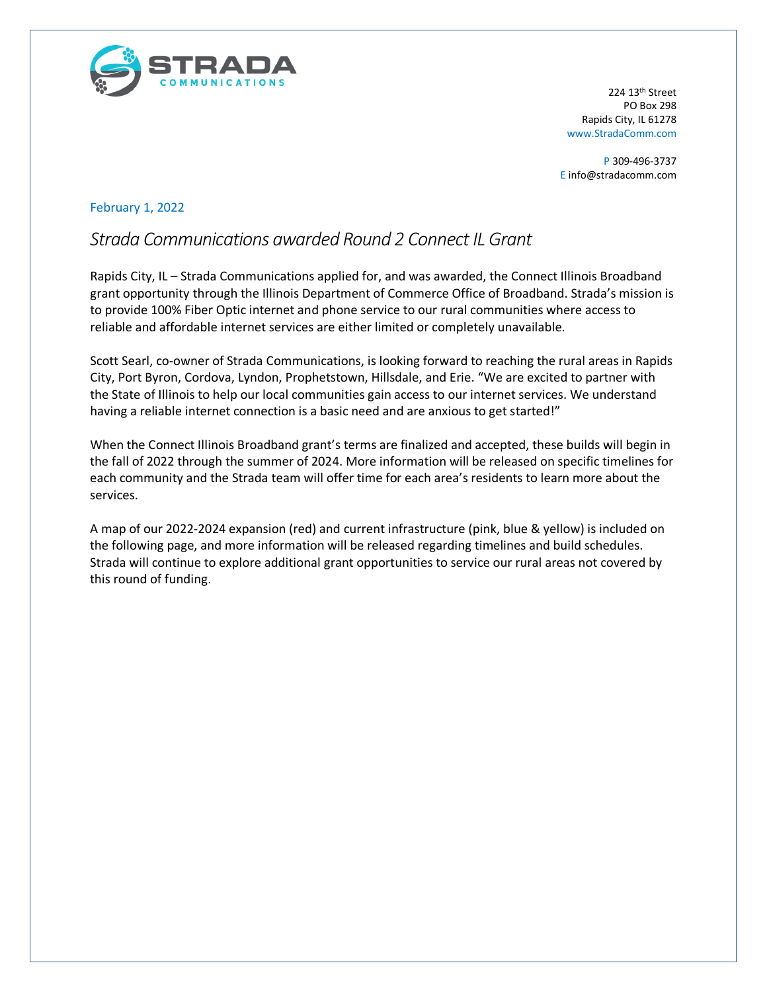

224 13th Street PO Box 298 Rapids City, IL 61278 www.StradaComm.com

P 309-496-3737 E info@stradacomm.com

## February 1, 2022

## *Strada Communications awarded Round 2 Connect IL Grant*

Rapids City, IL – Strada Communications applied for, and was awarded, the Connect Illinois Broadband grant opportunity through the Illinois Department of Commerce Office of Broadband. Strada's mission is to provide 100% Fiber Optic internet and phone service to our rural communities where access to reliable and affordable internet services are either limited or completely unavailable.

Scott Searl, co-owner of Strada Communications, is looking forward to reaching the rural areas in Rapids City, Port Byron, Cordova, Lyndon, Prophetstown, Hillsdale, and Erie. "We are excited to partner with the State of Illinois to help our local communities gain access to our internet services. We understand having a reliable internet connection is a basic need and are anxious to get started!"

When the Connect Illinois Broadband grant's terms are finalized and accepted, these builds will begin in the fall of 2022 through the summer of 2024. More information will be released on specific timelines for each community and the Strada team will offer time for each area's residents to learn more about the services.

A map of our 2022-2024 expansion (red) and current infrastructure (pink, blue & yellow) is included on the following page, and more information will be released regarding timelines and build schedules. Strada will continue to explore additional grant opportunities to service our rural areas not covered by this round of funding.